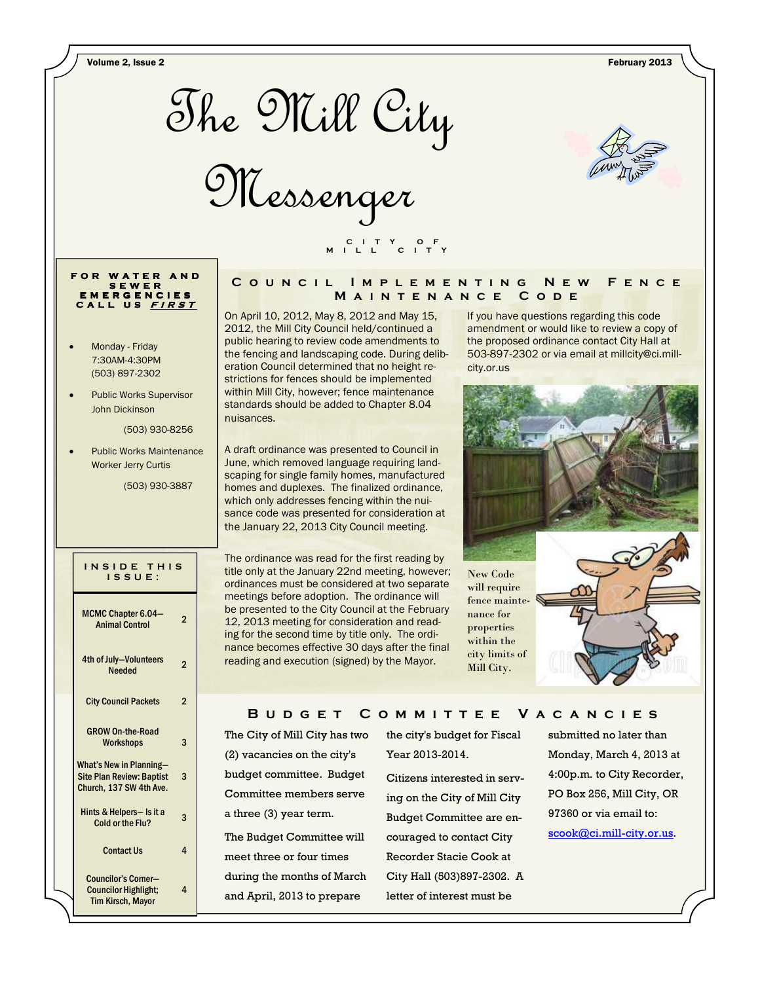Volume 2, Issue 2 February 2013



Messenger



# **F O R W A T E R A N D S E W E R E M E R G E N C I E S C A L L U S <sup>F</sup> <sup>I</sup> <sup>R</sup> <sup>S</sup> <sup>T</sup>**

- Monday Friday 7:30AM-4:30PM (503) 897-2302
- Public Works Supervisor John Dickinson

(503) 930-8256

Public Works Maintenance Worker Jerry Curtis

(503) 930-3887

### **I N S I D E T H I S I S S U E :**

| MCMC Chapter 6.04-<br><b>Animal Control</b>                                                   | $\overline{2}$ |
|-----------------------------------------------------------------------------------------------|----------------|
| 4th of July-Volunteers<br><b>Needed</b>                                                       | 2              |
| <b>City Council Packets</b>                                                                   | 2              |
| <b>GROW On-the-Road</b><br><b>Workshops</b>                                                   | 3              |
| <b>What's New in Planning-</b><br><b>Site Plan Review: Baptist</b><br>Church, 137 SW 4th Ave. | 3              |
| Hints & Helpers- Is it a<br>Cold or the Flu?                                                  | 3              |
| <b>Contact Us</b>                                                                             | 4              |
| Councilor's Corner-<br><b>Councilor Highlight;</b><br><b>Tim Kirsch, Mavor</b>                | 4              |

## COUNCIL IMPLEMENTING NEW FENCE **M a i n t e n a n c e C o d e**

On April 10, 2012, May 8, 2012 and May 15, 2012, the Mill City Council held/continued a public hearing to review code amendments to the fencing and landscaping code. During deliberation Council determined that no height restrictions for fences should be implemented within Mill City, however; fence maintenance standards should be added to Chapter 8.04 nuisances.

 **C I T Y O F M I L L C I T Y** 

A draft ordinance was presented to Council in June, which removed language requiring landscaping for single family homes, manufactured homes and duplexes. The finalized ordinance, which only addresses fencing within the nuisance code was presented for consideration at the January 22, 2013 City Council meeting.

The ordinance was read for the first reading by title only at the January 22nd meeting, however; ordinances must be considered at two separate meetings before adoption. The ordinance will be presented to the City Council at the February 12, 2013 meeting for consideration and reading for the second time by title only. The ordinance becomes effective 30 days after the final reading and execution (signed) by the Mayor.

If you have questions regarding this code amendment or would like to review a copy of the proposed ordinance contact City Hall at 503-897-2302 or via email at millcity@ci.millcity.or.us



## B U D G E T C O M M I T T E E V A C A N C I E S

The City of Mill City has two (2) vacancies on the city's budget committee. Budget Committee members serve a three (3) year term. The Budget Committee will

meet three or four times during the months of March and April, 2013 to prepare

the city's budget for Fiscal Year 2013-2014.

Citizens interested in serving on the City of Mill City Budget Committee are encouraged to contact City Recorder Stacie Cook at City Hall (503)897-2302. A letter of interest must be

submitted no later than Monday, March 4, 2013 at 4:00p.m. to City Recorder, PO Box 256, Mill City, OR 97360 or via email to: scook@ci.mill-city.or.us.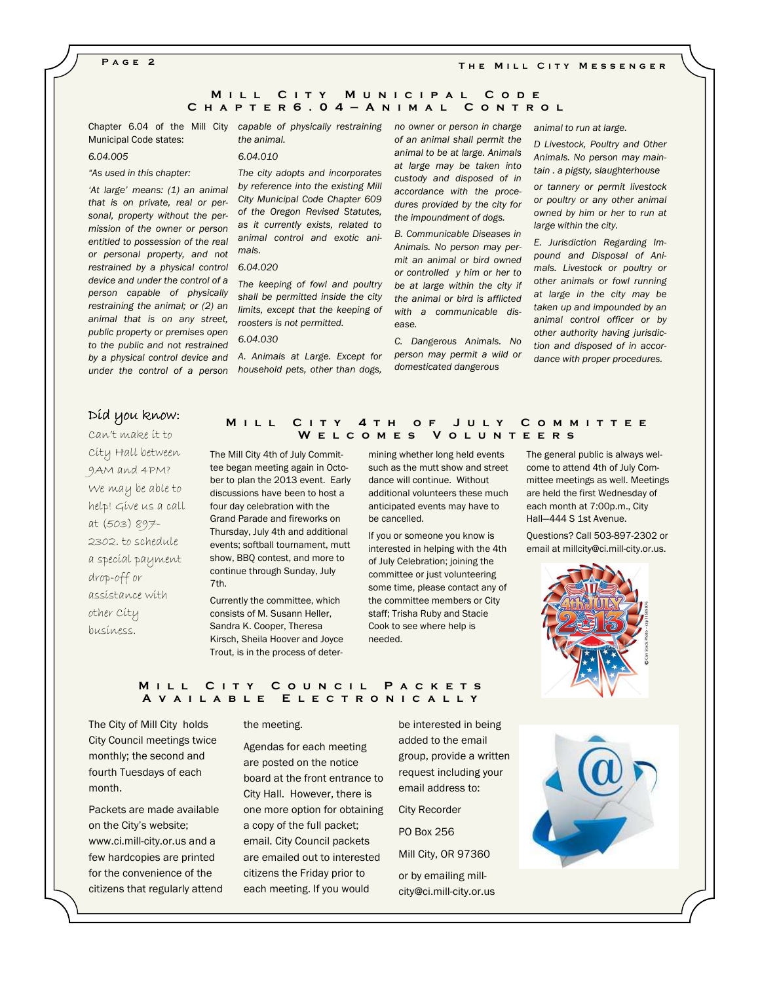**P a g e 2** 

#### THE MILL CITY MESSENGER

## **MILL CITY MUNICIPAL CODE C h a p t e r 6 . 0 4 — A n i m a l C o n t r o l**

Municipal Code states:

#### 6.04.005

### "As used in this chapter:

'At large' means: (1) an animal that is on private, real or personal, property without the permission of the owner or person entitled to possession of the real or personal property, and not restrained by a physical control 6.04.020 device and under the control of a person capable of physically restraining the animal; or (2) an animal that is on any street, public property or premises open to the public and not restrained under the control of a person household pets, other than dogs,

Chapter 6.04 of the Mill City capable of physically restraining the animal.

#### 6.04.010

The city adopts and incorporates by reference into the existing Mill City Municipal Code Chapter 609 of the Oregon Revised Statutes, as it currently exists, related to animal control and exotic animals.

The keeping of fowl and poultry shall be permitted inside the city limits, except that the keeping of roosters is not permitted.

## 6.04.030

by a physical control device and A. Animals at Large. Except for

no owner or person in charge of an animal shall permit the animal to be at large. Animals at large may be taken into custody and disposed of in accordance with the procedures provided by the city for the impoundment of dogs.

B. Communicable Diseases in Animals. No person may permit an animal or bird owned or controlled y him or her to be at large within the city if the animal or bird is afflicted with a communicable disease.

C. Dangerous Animals. No person may permit a wild or domesticated dangerous

animal to run at large.

D Livestock, Poultry and Other Animals. No person may maintain . a pigsty, slaughterhouse

or tannery or permit livestock or poultry or any other animal owned by him or her to run at large within the city.

E. Jurisdiction Regarding Impound and Disposal of Animals. Livestock or poultry or other animals or fowl running at large in the city may be taken up and impounded by an animal control officer or by other authority having jurisdiction and disposed of in accordance with proper procedures.

# Díd you know:

Can't make it to City Hall between 9AM and 4PM? We may be able to help! Give us a call at (503) 897- 2302. to schedule a special payment drop-off or assistance with other City business.

## **M i l l C i t y 4 t h o f J u l y C o m m i t t e e W e l c o m e s V o l u n t e e r s**

The Mill City 4th of July Committee began meeting again in October to plan the 2013 event. Early discussions have been to host a four day celebration with the Grand Parade and fireworks on Thursday, July 4th and additional events; softball tournament, mutt show, BBQ contest, and more to continue through Sunday, July 7th.

Currently the committee, which consists of M. Susann Heller, Sandra K. Cooper, Theresa Kirsch, Sheila Hoover and Joyce Trout, is in the process of deter-

mining whether long held events such as the mutt show and street dance will continue. Without additional volunteers these much anticipated events may have to be cancelled.

If you or someone you know is interested in helping with the 4th of July Celebration; joining the committee or just volunteering some time, please contact any of the committee members or City staff; Trisha Ruby and Stacie Cook to see where help is needed.

The general public is always welcome to attend 4th of July Committee meetings as well. Meetings are held the first Wednesday of each month at 7:00p.m., City Hall—444 S 1st Avenue.

Questions? Call 503-897-2302 or email at millcity@ci.mill-city.or.us.



## **MILL CITY COUNCIL PACKETS A v a i l a b l e E l e c t r o n i c a l l y**

The City of Mill City holds City Council meetings twice monthly; the second and fourth Tuesdays of each month.

Packets are made available on the City's website; www.ci.mill-city.or.us and a few hardcopies are printed for the convenience of the citizens that regularly attend

#### the meeting.

Agendas for each meeting are posted on the notice board at the front entrance to City Hall. However, there is one more option for obtaining a copy of the full packet; email. City Council packets are emailed out to interested citizens the Friday prior to each meeting. If you would

be interested in being added to the email group, provide a written request including your email address to:

City Recorder

PO Box 256

Mill City, OR 97360

or by emailing millcity@ci.mill-city.or.us

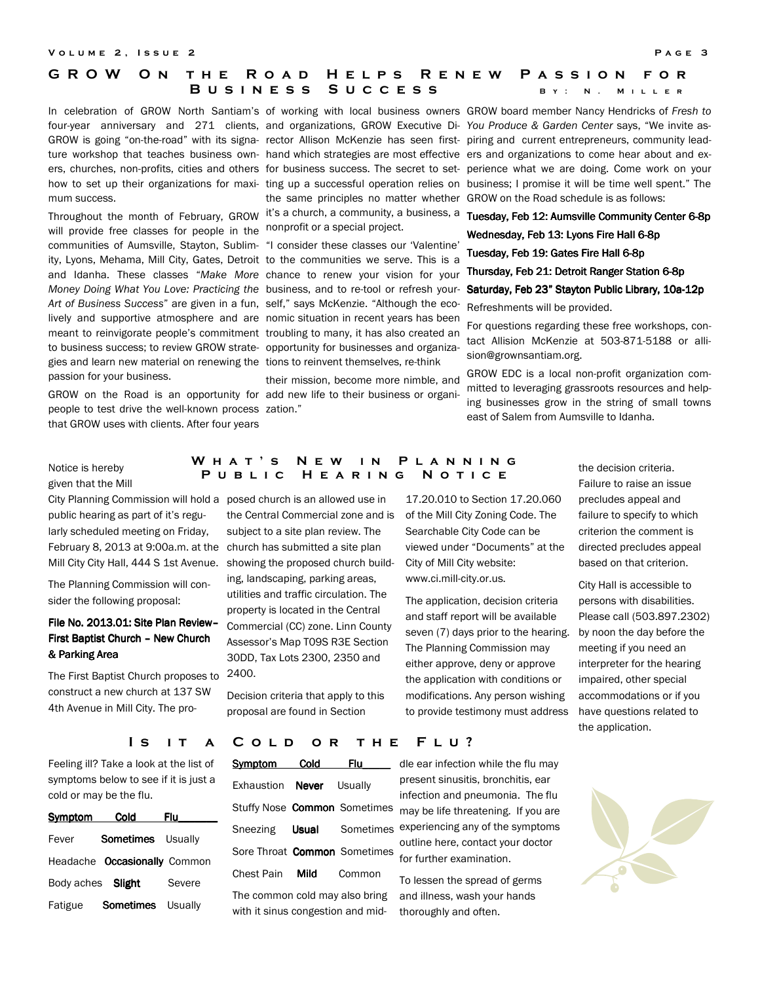#### **V** OLUME 2, ISSUE 2 **PAGE 3**

# **G R O W O N T H E R O A D H E L P S R E N E W P A S S I O N F O R BUSINESS SUCCESS** BY: N. MILLER

mum success.

will provide free classes for people in the nonprofit or a special project. communities of Aumsville, Stayton, Sublim- "I consider these classes our 'Valentine' ity, Lyons, Mehama, Mill City, Gates, Detroit to the communities we serve. This is a and Idanha. These classes "Make More chance to renew your vision for your Thursday, Feb 21: Detroit Ranger Station 6-8p Money Doing What You Love: Practicing the business, and to re-tool or refresh your- Saturday, Feb 23" Stayton Public Library, 10a-12p Art of Business Success" are given in a fun, self," says McKenzie. "Although the ecolively and supportive atmosphere and are nomic situation in recent years has been meant to reinvigorate people's commitment troubling to many, it has also created an to business success; to review GROW strate- opportunity for businesses and organizagies and learn new material on renewing the tions to reinvent themselves, re-think passion for your business.

GROW on the Road is an opportunity for add new life to their business or organipeople to test drive the well-known process zation." that GROW uses with clients. After four years

the same principles no matter whether GROW on the Road schedule is as follows: Throughout the month of February, GROW it's a church, a community, a business, a **Tuesday, Feb 12: Aumsville Community Center 6-8p** 

their mission, become more nimble, and

In celebration of GROW North Santiam's of working with local business owners GROW board member Nancy Hendricks of Fresh to four-year anniversary and 271 clients, and organizations, GROW Executive Di-You Produce & Garden Center says, "We invite as-GROW is going "on-the-road" with its signa- rector Allison McKenzie has seen first- piring and current entrepreneurs, community leadture workshop that teaches business own- hand which strategies are most effective ers and organizations to come hear about and exers, churches, non-profits, cities and others for business success. The secret to set- perience what we are doing. Come work on your how to set up their organizations for maxi- ting up a successful operation relies on business; I promise it will be time well spent." The

Wednesday, Feb 13: Lyons Fire Hall 6-8p

Tuesday, Feb 19: Gates Fire Hall 6-8p

Refreshments will be provided.

For questions regarding these free workshops, contact Allision McKenzie at 503-871-5188 or allision@grownsantiam.org.

GROW EDC is a local non-profit organization committed to leveraging grassroots resources and helping businesses grow in the string of small towns east of Salem from Aumsville to Idanha.

Notice is hereby given that the Mill

City Planning Commission will hold a posed church is an allowed use in February 8, 2013 at 9:00a.m. at the church has submitted a site plan public hearing as part of it's regularly scheduled meeting on Friday, Mill City City Hall, 444 S 1st Avenue.

The Planning Commission will consider the following proposal:

# File No. 2013.01: Site Plan Review-First Baptist Church - New Church & Parking Area

The First Baptist Church proposes to construct a new church at 137 SW 4th Avenue in Mill City. The pro-

# **W h a t ' s N e w i n P l a n n i n g**  PUBLIC HEARING NOTICE

the Central Commercial zone and is of the Mill City Zoning Code. The subject to a site plan review. The showing the proposed church building, landscaping, parking areas, utilities and traffic circulation. The property is located in the Central Commercial (CC) zone. Linn County Assessor's Map T09S R3E Section 30DD, Tax Lots 2300, 2350 and 2400.

Decision criteria that apply to this proposal are found in Section

17.20.010 to Section 17.20.060 Searchable City Code can be viewed under "Documents" at the City of Mill City website: www.ci.mill-city.or.us.

The application, decision criteria and staff report will be available seven (7) days prior to the hearing. The Planning Commission may either approve, deny or approve the application with conditions or modifications. Any person wishing to provide testimony must address the decision criteria. Failure to raise an issue precludes appeal and failure to specify to which criterion the comment is directed precludes appeal based on that criterion.

City Hall is accessible to persons with disabilities. Please call (503.897.2302) by noon the day before the meeting if you need an interpreter for the hearing impaired, other special accommodations or if you have questions related to the application.

Feeling ill? Take a look at the list of symptoms below to see if it is just a cold or may be the flu.

| Symptom           | <b>Cold</b>                         | Flu     |
|-------------------|-------------------------------------|---------|
| Fever             | <b>Sometimes</b> Usually            |         |
|                   | Headache <b>Occasionally</b> Common |         |
| Body aches Slight |                                     | Severe  |
| Fatigue           | Sometimes                           | Usually |

## IS IT A COLD OR THE FLU?

| Symptom Cold                      |  | Flu.                            |  |  |
|-----------------------------------|--|---------------------------------|--|--|
| Exhaustion Never Usually          |  |                                 |  |  |
|                                   |  | Stuffy Nose Common Sometimes    |  |  |
|                                   |  | Sneezing <b>Usual</b> Sometimes |  |  |
|                                   |  | Sore Throat Common Sometimes    |  |  |
| Chest Pain <b>Mild</b> Common     |  |                                 |  |  |
| The common cold may also bring    |  |                                 |  |  |
| with it sinus congestion and mid- |  |                                 |  |  |

dle ear infection while the flu may present sinusitis, bronchitis, ear infection and pneumonia. The flu may be life threatening. If you are experiencing any of the symptoms outline here, contact your doctor for further examination.

To lessen the spread of germs and illness, wash your hands thoroughly and often.